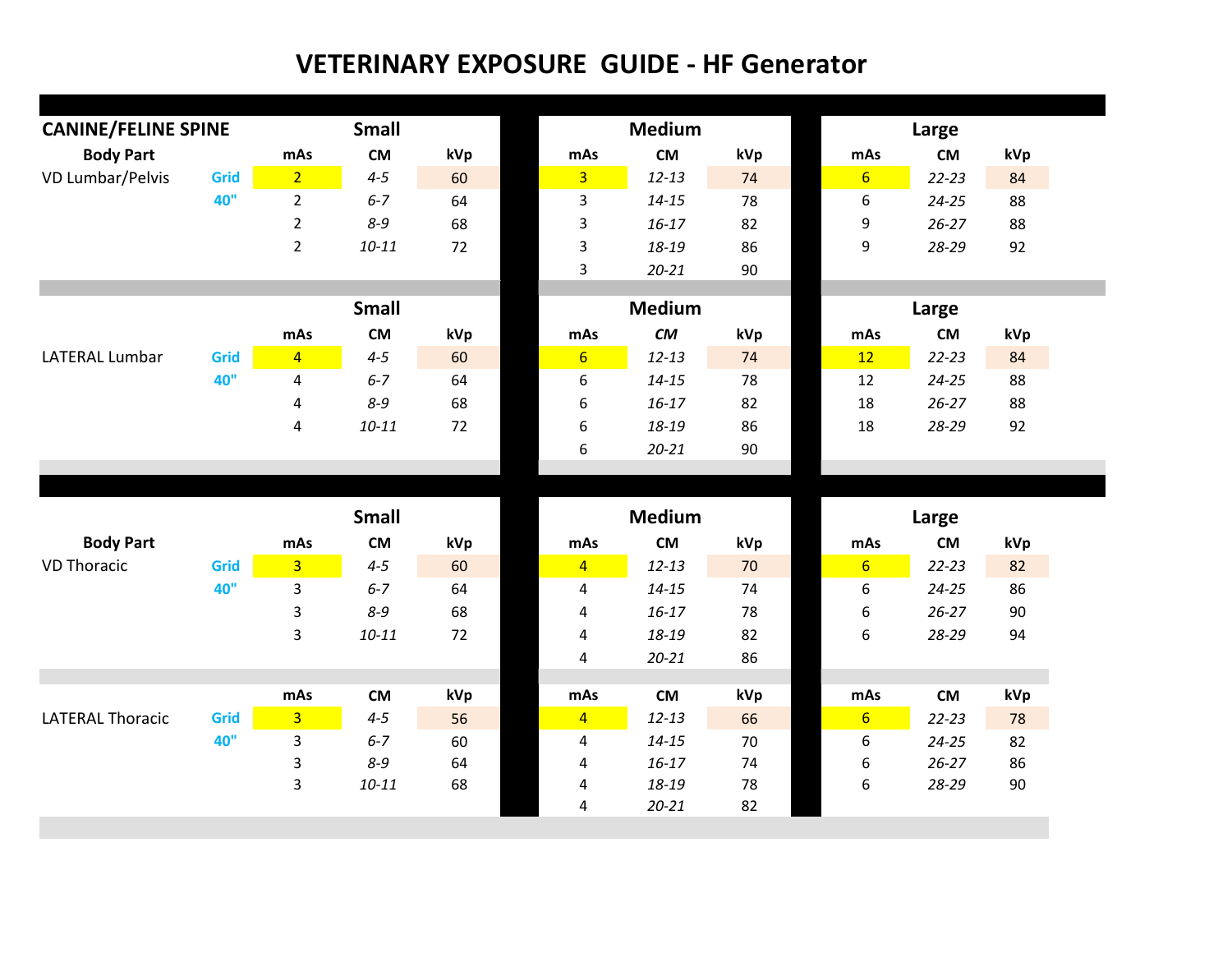| <b>CANINE/FELINE SPINE</b> |      | <b>Small</b>            |                      |          |                              | <b>Medium</b>      | Large    |                |                    |          |  |
|----------------------------|------|-------------------------|----------------------|----------|------------------------------|--------------------|----------|----------------|--------------------|----------|--|
| <b>Body Part</b>           |      | mAs                     | <b>CM</b>            | kVp      | mAs                          | <b>CM</b>          | kVp      | mAs            | <b>CM</b>          | kVp      |  |
| VD Lumbar/Pelvis           | Grid | $\overline{2}$          | $4 - 5$              | 60       | $\overline{3}$               | $12 - 13$          | 74       | 6 <sup>1</sup> | $22 - 23$          | 84       |  |
|                            | 40"  | $\overline{2}$          | $6 - 7$              | 64       | 3                            | $14 - 15$          | 78       | 6              | $24 - 25$          | 88       |  |
|                            |      | $\overline{2}$          | $8 - 9$              | 68       | $\mathsf 3$                  | $16 - 17$          | 82       | 9              | $26 - 27$          | 88       |  |
|                            |      | $\overline{2}$          | $10 - 11$            | 72       | $\mathsf 3$                  | 18-19              | 86       | 9              | 28-29              | 92       |  |
|                            |      |                         |                      |          | 3                            | $20 - 21$          | 90       |                |                    |          |  |
|                            |      |                         |                      |          |                              |                    |          |                |                    |          |  |
|                            |      |                         | <b>Small</b>         |          |                              | <b>Medium</b>      |          |                | Large              |          |  |
|                            |      | mAs                     | <b>CM</b>            | kVp      | mAs                          | CM                 | kVp      | mAs            | <b>CM</b>          | kVp      |  |
| <b>LATERAL Lumbar</b>      | Grid | $\overline{4}$          | $4 - 5$              | 60       | 6 <sup>1</sup>               | $12 - 13$          | 74       | 12             | $22 - 23$          | 84       |  |
|                            | 40"  | $\overline{\mathbf{4}}$ | $6 - 7$              | 64       | 6                            | $14 - 15$          | 78       | 12             | $24 - 25$          | 88       |  |
|                            |      | 4                       | $8 - 9$              | 68       | 6                            | $16 - 17$          | 82       | 18<br>18       | $26 - 27$          | 88       |  |
|                            |      | $\pmb{4}$               | $10 - 11$            | 72       | $\boldsymbol{6}$<br>6        | 18-19<br>$20 - 21$ | 86<br>90 |                | 28-29              | 92       |  |
|                            |      |                         |                      |          |                              |                    |          |                |                    |          |  |
|                            |      |                         |                      |          |                              |                    |          |                |                    |          |  |
|                            |      |                         |                      |          |                              |                    |          |                |                    |          |  |
|                            |      |                         | <b>Small</b>         |          |                              | <b>Medium</b>      |          |                | Large              |          |  |
| <b>Body Part</b>           |      | mAs                     | <b>CM</b>            | kVp      | mAs                          | <b>CM</b>          | kVp      | mAs            | <b>CM</b>          | kVp      |  |
| <b>VD Thoracic</b>         | Grid | $\overline{3}$          | $4 - 5$              | 60       | $\overline{4}$               | $12 - 13$          | 70       | 6 <sup>1</sup> | $22 - 23$          | 82       |  |
|                            | 40"  | $\mathbf{3}$            | $6 - 7$              | 64       | $\overline{\mathbf{4}}$      | $14 - 15$          | 74       | 6              | $24 - 25$          | 86       |  |
|                            |      | 3                       | $8 - 9$              | 68       | $\overline{\mathbf{4}}$      | $16 - 17$          | 78       | 6              | $26 - 27$          | 90       |  |
|                            |      | 3                       | $10 - 11$            | 72       | 4                            | 18-19              | 82       | 6              | 28-29              | 94       |  |
|                            |      |                         |                      |          | $\overline{\mathbf{4}}$      | $20 - 21$          | 86       |                |                    |          |  |
|                            |      |                         |                      |          |                              |                    |          |                |                    |          |  |
|                            |      | mAs                     | <b>CM</b>            | kVp      | mAs                          | <b>CM</b>          | kVp      | mAs            | <b>CM</b>          | kVp      |  |
| <b>LATERAL Thoracic</b>    | Grid | 3 <sup>2</sup>          | $4 - 5$              | 56       | $\overline{4}$               | $12 - 13$          | 66       | 6 <sup>1</sup> | $22 - 23$          | 78       |  |
|                            | 40"  | 3                       | $6 - 7$              | 60       | 4                            | $14 - 15$          | 70       | 6              | $24 - 25$          | 82       |  |
|                            |      | 3<br>3                  | $8 - 9$<br>$10 - 11$ | 64<br>68 | $\overline{\mathbf{4}}$<br>4 | $16 - 17$<br>18-19 | 74<br>78 | 6<br>6         | $26 - 27$<br>28-29 | 86<br>90 |  |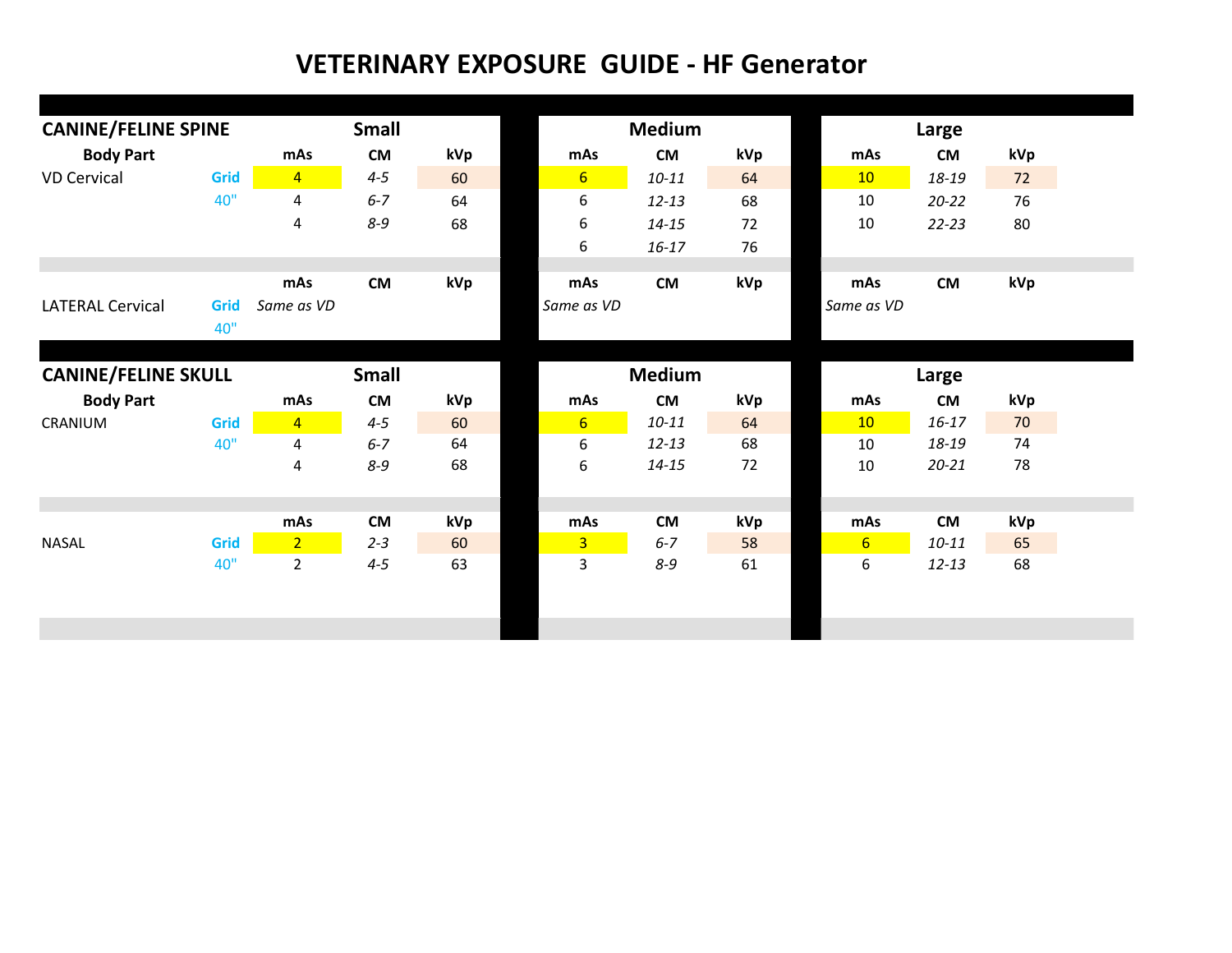| <b>Body Part</b><br><b>VD Cervical</b><br>40"<br><b>LATERAL Cervical</b><br>Grid<br>40" | mAs<br>Grid<br>$\overline{4}$<br>$\overline{4}$<br>4<br>mAs<br>Same as VD | ${\sf CM}$<br>$4 - 5$<br>$6 - 7$<br>$8 - 9$<br><b>CM</b> | kVp<br>60<br>64<br>68 | mAs<br>$6 \overline{6}$<br>6<br>6<br>6 | <b>CM</b><br>$10 - 11$<br>$12 - 13$<br>$14 - 15$ | kVp<br>64<br>68<br>72 | mAs<br>10<br>10<br>10 | <b>CM</b><br>18-19<br>$20 - 22$ | kVp<br>72<br>76 |
|-----------------------------------------------------------------------------------------|---------------------------------------------------------------------------|----------------------------------------------------------|-----------------------|----------------------------------------|--------------------------------------------------|-----------------------|-----------------------|---------------------------------|-----------------|
|                                                                                         |                                                                           |                                                          |                       |                                        |                                                  |                       |                       |                                 |                 |
|                                                                                         |                                                                           |                                                          |                       |                                        |                                                  |                       |                       |                                 |                 |
|                                                                                         |                                                                           |                                                          |                       |                                        |                                                  |                       |                       |                                 |                 |
|                                                                                         |                                                                           |                                                          |                       |                                        |                                                  |                       |                       | $22 - 23$                       | 80              |
|                                                                                         |                                                                           |                                                          |                       |                                        | $16 - 17$                                        | 76                    |                       |                                 |                 |
|                                                                                         |                                                                           |                                                          | kVp                   | mAs                                    | <b>CM</b>                                        | kVp                   | mAs                   | <b>CM</b>                       | kVp             |
|                                                                                         |                                                                           |                                                          |                       | Same as VD                             |                                                  |                       | Same as VD            |                                 |                 |
|                                                                                         |                                                                           |                                                          |                       |                                        |                                                  |                       |                       |                                 |                 |
|                                                                                         |                                                                           |                                                          |                       |                                        |                                                  |                       |                       |                                 |                 |
| <b>CANINE/FELINE SKULL</b>                                                              |                                                                           | <b>Small</b>                                             |                       |                                        | <b>Medium</b>                                    |                       |                       | Large                           |                 |
| <b>Body Part</b>                                                                        | mAs                                                                       | <b>CM</b>                                                | kVp                   | mAs                                    | <b>CM</b>                                        | kVp                   | mAs                   | <b>CM</b>                       | kVp             |
| CRANIUM                                                                                 | Grid<br>$\overline{4}$                                                    | $4 - 5$                                                  | 60                    | 6 <sup>1</sup>                         | $10 - 11$                                        | 64                    | 10                    | $16 - 17$                       | 70              |
| 40"                                                                                     | $\overline{4}$                                                            | $6 - 7$                                                  | 64                    | 6                                      | $12 - 13$                                        | 68                    | 10                    | 18-19                           | 74              |
|                                                                                         | 4                                                                         | $8 - 9$                                                  | 68                    | 6                                      | $14 - 15$                                        | 72                    | 10                    | $20 - 21$                       | 78              |
|                                                                                         |                                                                           |                                                          |                       |                                        |                                                  |                       |                       |                                 |                 |
|                                                                                         | mAs                                                                       | <b>CM</b>                                                | kVp                   | mAs                                    | <b>CM</b>                                        | kVp                   | mAs                   | <b>CM</b>                       | kVp             |
| Grid<br><b>NASAL</b>                                                                    | 2 <sup>7</sup>                                                            | $2 - 3$                                                  | 60                    | $\overline{3}$                         | $6 - 7$                                          | 58                    | $6 \overline{6}$      | $10 - 11$                       | 65              |
| 40"                                                                                     | $2^{\circ}$                                                               | $4 - 5$                                                  | 63                    | 3                                      | $8-9$                                            | 61                    | 6                     | $12 - 13$                       | 68              |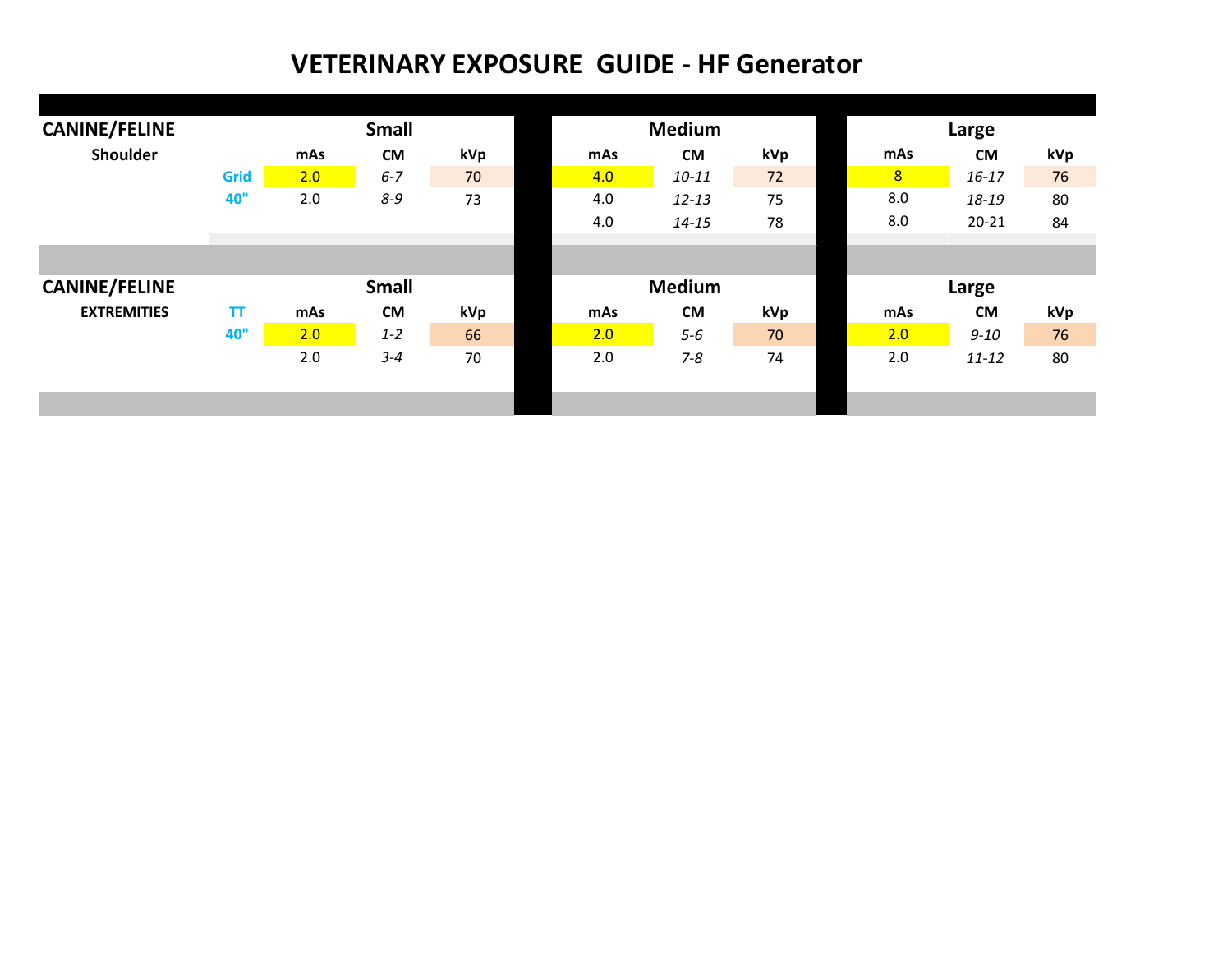